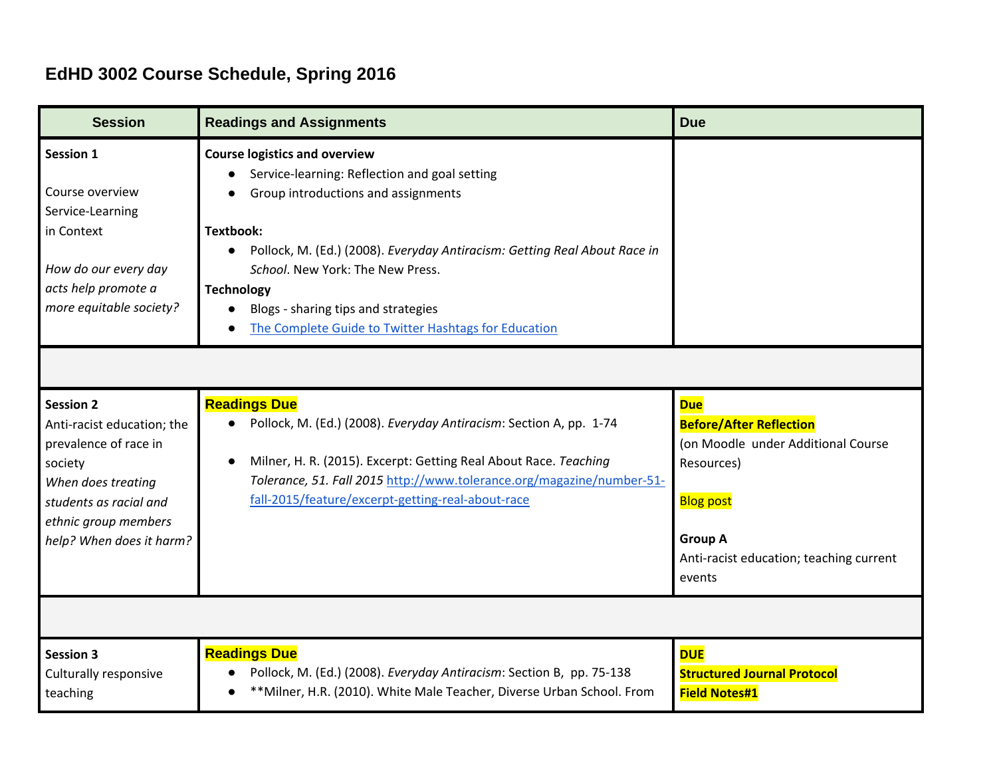## **EdHD 3002 Course Schedule, Spring 2016**

| <b>Session</b>                                                                                                                                                                         | <b>Readings and Assignments</b>                                                                                                                                                                                                                                                                                                                                                                    | <b>Due</b>                                                                                                                                                                                  |
|----------------------------------------------------------------------------------------------------------------------------------------------------------------------------------------|----------------------------------------------------------------------------------------------------------------------------------------------------------------------------------------------------------------------------------------------------------------------------------------------------------------------------------------------------------------------------------------------------|---------------------------------------------------------------------------------------------------------------------------------------------------------------------------------------------|
| <b>Session 1</b><br>Course overview<br>Service-Learning<br>in Context<br>How do our every day<br>acts help promote a<br>more equitable society?                                        | <b>Course logistics and overview</b><br>Service-learning: Reflection and goal setting<br>Group introductions and assignments<br><b>Textbook:</b><br>Pollock, M. (Ed.) (2008). Everyday Antiracism: Getting Real About Race in<br>School. New York: The New Press.<br><b>Technology</b><br>Blogs - sharing tips and strategies<br>$\bullet$<br>The Complete Guide to Twitter Hashtags for Education |                                                                                                                                                                                             |
|                                                                                                                                                                                        |                                                                                                                                                                                                                                                                                                                                                                                                    |                                                                                                                                                                                             |
| <b>Session 2</b><br>Anti-racist education; the<br>prevalence of race in<br>society<br>When does treating<br>students as racial and<br>ethnic group members<br>help? When does it harm? | <b>Readings Due</b><br>Pollock, M. (Ed.) (2008). Everyday Antiracism: Section A, pp. 1-74<br>$\bullet$<br>Milner, H. R. (2015). Excerpt: Getting Real About Race. Teaching<br>Tolerance, 51. Fall 2015 http://www.tolerance.org/magazine/number-51-<br>fall-2015/feature/excerpt-getting-real-about-race                                                                                           | <b>Due</b><br><b>Before/After Reflection</b><br>(on Moodle under Additional Course<br>Resources)<br><b>Blog post</b><br><b>Group A</b><br>Anti-racist education; teaching current<br>events |
| <b>Session 3</b><br>Culturally responsive<br>teaching                                                                                                                                  | <b>Readings Due</b><br>Pollock, M. (Ed.) (2008). Everyday Antiracism: Section B, pp. 75-138<br>** Milner, H.R. (2010). White Male Teacher, Diverse Urban School. From                                                                                                                                                                                                                              | <b>DUE</b><br><b>Structured Journal Protocol</b><br><b>Field Notes#1</b>                                                                                                                    |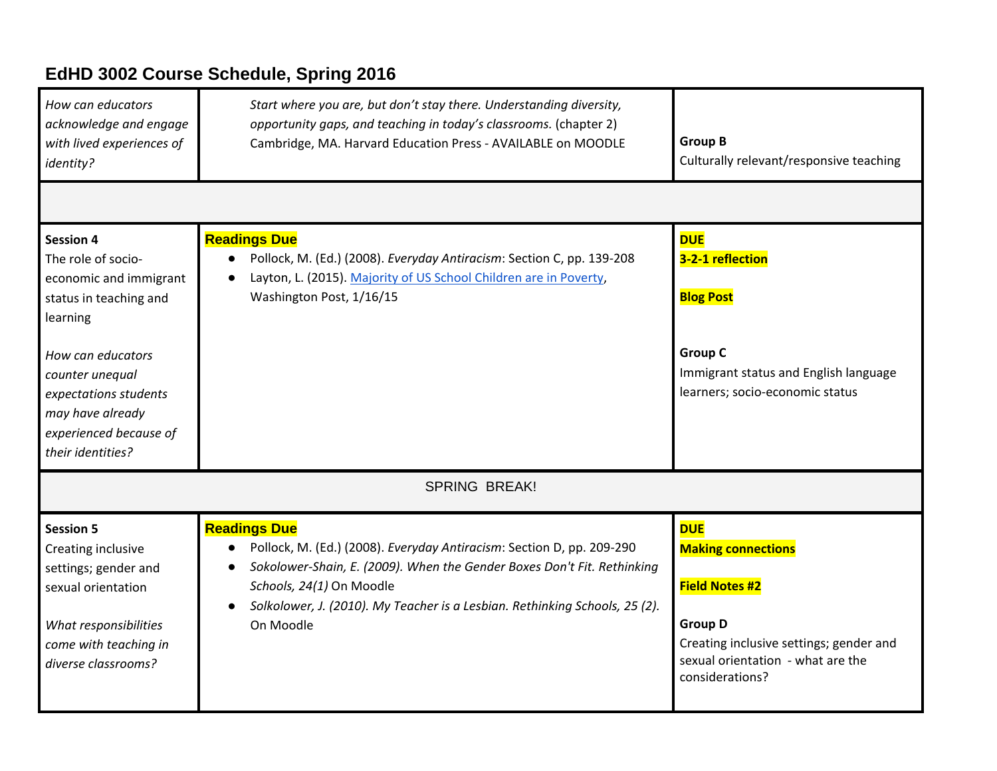## **EdHD 3002 Course Schedule, Spring 2016**

| How can educators<br>acknowledge and engage<br>with lived experiences of<br>identity?                                                                                                                                                      | Start where you are, but don't stay there. Understanding diversity,<br>opportunity gaps, and teaching in today's classrooms. (chapter 2)<br>Cambridge, MA. Harvard Education Press - AVAILABLE on MOODLE                                                                                        | <b>Group B</b><br>Culturally relevant/responsive teaching                                                                                                                             |  |  |
|--------------------------------------------------------------------------------------------------------------------------------------------------------------------------------------------------------------------------------------------|-------------------------------------------------------------------------------------------------------------------------------------------------------------------------------------------------------------------------------------------------------------------------------------------------|---------------------------------------------------------------------------------------------------------------------------------------------------------------------------------------|--|--|
|                                                                                                                                                                                                                                            |                                                                                                                                                                                                                                                                                                 |                                                                                                                                                                                       |  |  |
| <b>Session 4</b><br>The role of socio-<br>economic and immigrant<br>status in teaching and<br>learning<br>How can educators<br>counter unequal<br>expectations students<br>may have already<br>experienced because of<br>their identities? | <b>Readings Due</b><br>Pollock, M. (Ed.) (2008). Everyday Antiracism: Section C, pp. 139-208<br>Layton, L. (2015). Majority of US School Children are in Poverty,<br>Washington Post, 1/16/15                                                                                                   | <b>DUE</b><br>3-2-1 reflection<br><b>Blog Post</b><br><b>Group C</b><br>Immigrant status and English language<br>learners; socio-economic status                                      |  |  |
| <b>SPRING BREAK!</b>                                                                                                                                                                                                                       |                                                                                                                                                                                                                                                                                                 |                                                                                                                                                                                       |  |  |
| <b>Session 5</b><br>Creating inclusive<br>settings; gender and<br>sexual orientation<br>What responsibilities<br>come with teaching in<br>diverse classrooms?                                                                              | <b>Readings Due</b><br>Pollock, M. (Ed.) (2008). Everyday Antiracism: Section D, pp. 209-290<br>Sokolower-Shain, E. (2009). When the Gender Boxes Don't Fit. Rethinking<br>Schools, 24(1) On Moodle<br>Solkolower, J. (2010). My Teacher is a Lesbian. Rethinking Schools, 25 (2).<br>On Moodle | <b>DUE</b><br><b>Making connections</b><br><b>Field Notes #2</b><br><b>Group D</b><br>Creating inclusive settings; gender and<br>sexual orientation - what are the<br>considerations? |  |  |